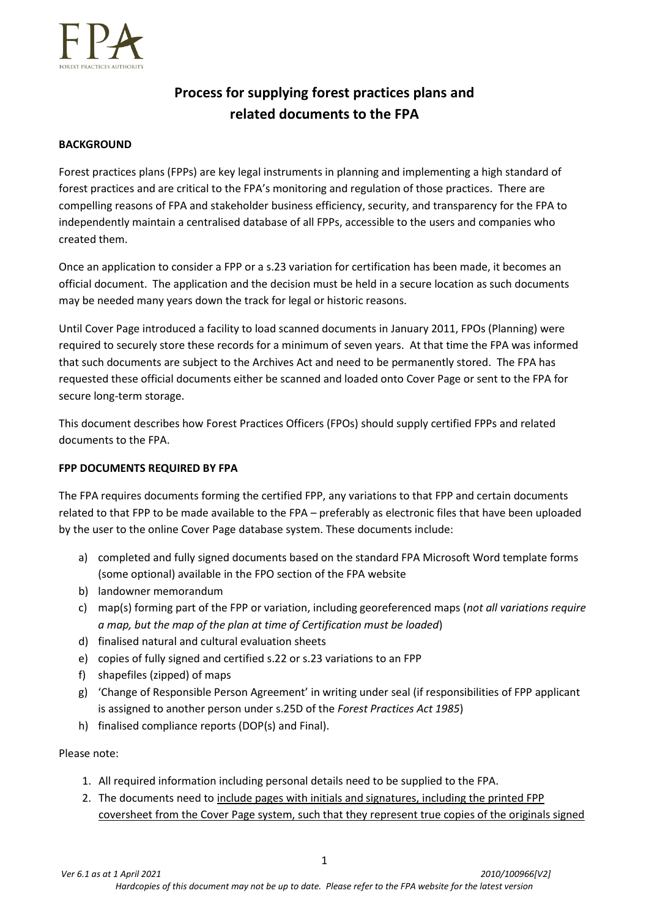

# **Process for supplying forest practices plans and related documents to the FPA**

#### **BACKGROUND**

Forest practices plans (FPPs) are key legal instruments in planning and implementing a high standard of forest practices and are critical to the FPA's monitoring and regulation of those practices. There are compelling reasons of FPA and stakeholder business efficiency, security, and transparency for the FPA to independently maintain a centralised database of all FPPs, accessible to the users and companies who created them.

Once an application to consider a FPP or a s.23 variation for certification has been made, it becomes an official document. The application and the decision must be held in a secure location as such documents may be needed many years down the track for legal or historic reasons.

Until Cover Page introduced a facility to load scanned documents in January 2011, FPOs (Planning) were required to securely store these records for a minimum of seven years. At that time the FPA was informed that such documents are subject to the Archives Act and need to be permanently stored. The FPA has requested these official documents either be scanned and loaded onto Cover Page or sent to the FPA for secure long-term storage.

This document describes how Forest Practices Officers (FPOs) should supply certified FPPs and related documents to the FPA.

## **FPP DOCUMENTS REQUIRED BY FPA**

The FPA requires documents forming the certified FPP, any variations to that FPP and certain documents related to that FPP to be made available to the FPA – preferably as electronic files that have been uploaded by the user to the online Cover Page database system. These documents include:

- a) completed and fully signed documents based on the standard FPA Microsoft Word template forms (some optional) available in the FPO section of the FPA website
- b) landowner memorandum
- c) map(s) forming part of the FPP or variation, including georeferenced maps (*not all variations require a map, but the map of the plan at time of Certification must be loaded*)
- d) finalised natural and cultural evaluation sheets
- e) copies of fully signed and certified s.22 or s.23 variations to an FPP
- f) shapefiles (zipped) of maps
- g) 'Change of Responsible Person Agreement' in writing under seal (if responsibilities of FPP applicant is assigned to another person under s.25D of the *Forest Practices Act 1985*)
- h) finalised compliance reports (DOP(s) and Final).

#### Please note:

- 1. All required information including personal details need to be supplied to the FPA.
- 2. The documents need to include pages with initials and signatures, including the printed FPP coversheet from the Cover Page system, such that they represent true copies of the originals signed